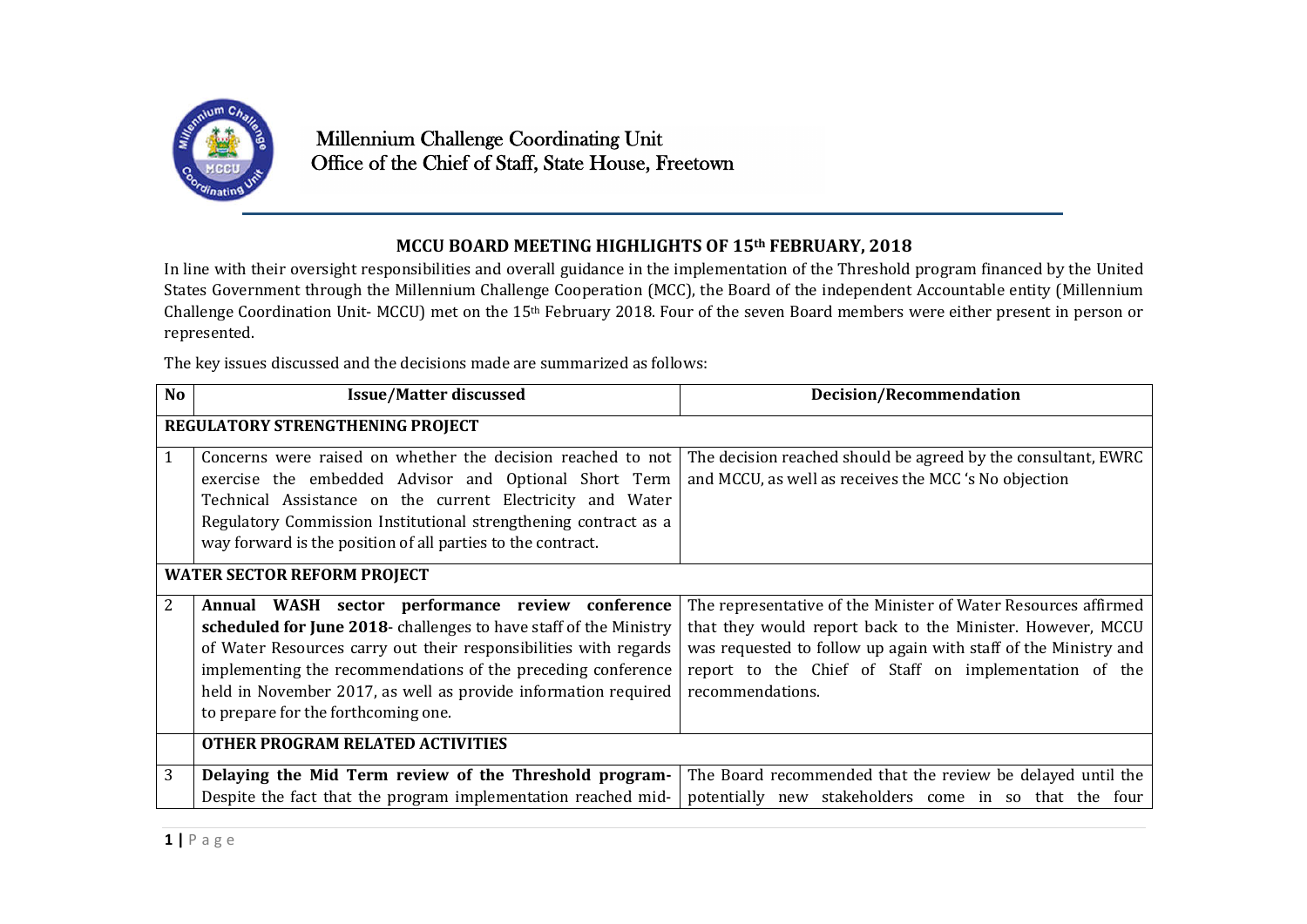

## **MCCU BOARD MEETING HIGHLIGHTS OF 15th FEBRUARY, 2018**

In line with their oversight responsibilities and overall guidance in the implementation of the Threshold program financed by the United States Government through the Millennium Challenge Cooperation (MCC), the Board of the independent Accountable entity (Millennium Challenge Coordination Unit- MCCU) met on the 15th February 2018. Four of the seven Board members were either present in person or represented.

The key issues discussed and the decisions made are summarized as follows:

| <b>No</b>                          | <b>Issue/Matter discussed</b>                                                                                                                                                                                                                                                                                                                                      | <b>Decision/Recommendation</b>                                                                                                                                                                                                                                               |  |
|------------------------------------|--------------------------------------------------------------------------------------------------------------------------------------------------------------------------------------------------------------------------------------------------------------------------------------------------------------------------------------------------------------------|------------------------------------------------------------------------------------------------------------------------------------------------------------------------------------------------------------------------------------------------------------------------------|--|
| REGULATORY STRENGTHENING PROJECT   |                                                                                                                                                                                                                                                                                                                                                                    |                                                                                                                                                                                                                                                                              |  |
|                                    | Concerns were raised on whether the decision reached to not<br>exercise the embedded Advisor and Optional Short Term<br>Technical Assistance on the current Electricity and Water<br>Regulatory Commission Institutional strengthening contract as a<br>way forward is the position of all parties to the contract.                                                | The decision reached should be agreed by the consultant, EWRC<br>and MCCU, as well as receives the MCC 's No objection                                                                                                                                                       |  |
| <b>WATER SECTOR REFORM PROJECT</b> |                                                                                                                                                                                                                                                                                                                                                                    |                                                                                                                                                                                                                                                                              |  |
| 2                                  | Annual WASH sector performance review conference<br>scheduled for June 2018- challenges to have staff of the Ministry<br>of Water Resources carry out their responsibilities with regards<br>implementing the recommendations of the preceding conference<br>held in November 2017, as well as provide information required<br>to prepare for the forthcoming one. | The representative of the Minister of Water Resources affirmed<br>that they would report back to the Minister. However, MCCU<br>was requested to follow up again with staff of the Ministry and<br>report to the Chief of Staff on implementation of the<br>recommendations. |  |
|                                    | OTHER PROGRAM RELATED ACTIVITIES                                                                                                                                                                                                                                                                                                                                   |                                                                                                                                                                                                                                                                              |  |
| 3                                  | Delaying the Mid Term review of the Threshold program-<br>Despite the fact that the program implementation reached mid-                                                                                                                                                                                                                                            | The Board recommended that the review be delayed until the<br>potentially new stakeholders come in so that the four                                                                                                                                                          |  |